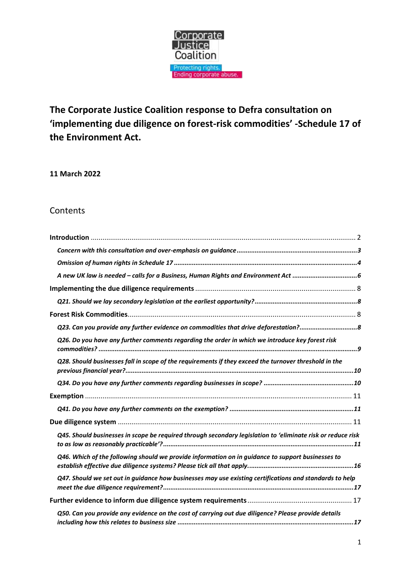

**The Corporate Justice Coalition response to Defra consultation on 'implementing due diligence on forest-risk commodities' -Schedule 17 of the Environment Act.**

**11 March 2022**

### **Contents**

| Q23. Can you provide any further evidence on commodities that drive deforestation?8                         |
|-------------------------------------------------------------------------------------------------------------|
| Q26. Do you have any further comments regarding the order in which we introduce key forest risk             |
| Q28. Should businesses fall in scope of the requirements if they exceed the turnover threshold in the       |
|                                                                                                             |
|                                                                                                             |
|                                                                                                             |
|                                                                                                             |
| Q45. Should businesses in scope be required through secondary legislation to 'eliminate risk or reduce risk |
| Q46. Which of the following should we provide information on in guidance to support businesses to           |
| Q47. Should we set out in guidance how businesses may use existing certifications and standards to help     |
|                                                                                                             |
| Q50. Can you provide any evidence on the cost of carrying out due diligence? Please provide details         |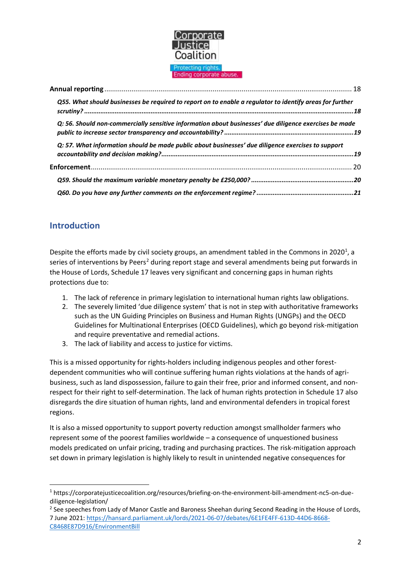

| Q55. What should businesses be required to report on to enable a regulator to identify areas for further |  |
|----------------------------------------------------------------------------------------------------------|--|
| Q: 56. Should non-commercially sensitive information about businesses' due diligence exercises be made   |  |
| Q: 57. What information should be made public about businesses' due diligence exercises to support       |  |
|                                                                                                          |  |
|                                                                                                          |  |
|                                                                                                          |  |

# <span id="page-1-0"></span>**Introduction**

Despite the efforts made by civil society groups, an amendment tabled in the Commons in 2020<sup>1</sup>, a series of interventions by Peers<sup>2</sup> during report stage and several amendments being put forwards in the House of Lords, Schedule 17 leaves very significant and concerning gaps in human rights protections due to:

- 1. The lack of reference in primary legislation to international human rights law obligations.
- 2. The severely limited 'due diligence system' that is not in step with authoritative frameworks such as the UN Guiding Principles on Business and Human Rights (UNGPs) and the OECD Guidelines for Multinational Enterprises (OECD Guidelines), which go beyond risk-mitigation and require preventative and remedial actions.
- 3. The lack of liability and access to justice for victims.

This is a missed opportunity for rights-holders including indigenous peoples and other forestdependent communities who will continue suffering human rights violations at the hands of agribusiness, such as land dispossession, failure to gain their free, prior and informed consent, and nonrespect for their right to self-determination. The lack of human rights protection in Schedule 17 also disregards the dire situation of human rights, land and environmental defenders in tropical forest regions.

It is also a missed opportunity to support poverty reduction amongst smallholder farmers who represent some of the poorest families worldwide – a consequence of unquestioned business models predicated on unfair pricing, trading and purchasing practices. The risk-mitigation approach set down in primary legislation is highly likely to result in unintended negative consequences for

<sup>1</sup> https://corporatejusticecoalition.org/resources/briefing-on-the-environment-bill-amendment-nc5-on-duediligence-legislation/

<sup>&</sup>lt;sup>2</sup> See speeches from Lady of Manor Castle and Baroness Sheehan during Second Reading in the House of Lords, 7 June 2021[: https://hansard.parliament.uk/lords/2021-06-07/debates/6E1FE4FF-613D-44D6-8668-](https://hansard.parliament.uk/lords/2021-06-07/debates/6E1FE4FF-613D-44D6-8668-C8468E87D916/EnvironmentBill) [C8468E87D916/EnvironmentBill](https://hansard.parliament.uk/lords/2021-06-07/debates/6E1FE4FF-613D-44D6-8668-C8468E87D916/EnvironmentBill)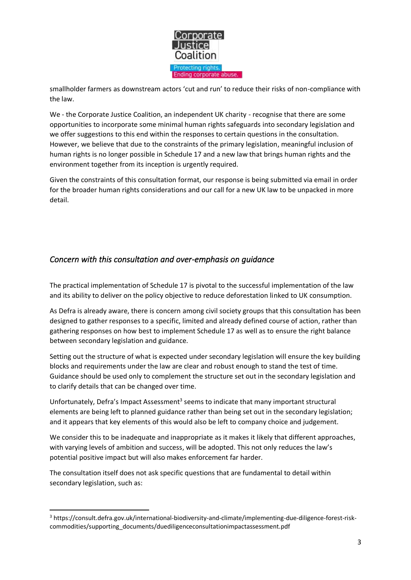

smallholder farmers as downstream actors 'cut and run' to reduce their risks of non-compliance with the law.

We - the Corporate Justice Coalition, an independent UK charity - recognise that there are some opportunities to incorporate some minimal human rights safeguards into secondary legislation and we offer suggestions to this end within the responses to certain questions in the consultation. However, we believe that due to the constraints of the primary legislation, meaningful inclusion of human rights is no longer possible in Schedule 17 and a new law that brings human rights and the environment together from its inception is urgently required.

Given the constraints of this consultation format, our response is being submitted via email in order for the broader human rights considerations and our call for a new UK law to be unpacked in more detail.

### <span id="page-2-0"></span>*Concern with this consultation and over-emphasis on guidance*

The practical implementation of Schedule 17 is pivotal to the successful implementation of the law and its ability to deliver on the policy objective to reduce deforestation linked to UK consumption.

As Defra is already aware, there is concern among civil society groups that this consultation has been designed to gather responses to a specific, limited and already defined course of action, rather than gathering responses on how best to implement Schedule 17 as well as to ensure the right balance between secondary legislation and guidance.

Setting out the structure of what is expected under secondary legislation will ensure the key building blocks and requirements under the law are clear and robust enough to stand the test of time. Guidance should be used only to complement the structure set out in the secondary legislation and to clarify details that can be changed over time.

Unfortunately, Defra's Impact Assessment<sup>3</sup> seems to indicate that many important structural elements are being left to planned guidance rather than being set out in the secondary legislation; and it appears that key elements of this would also be left to company choice and judgement.

We consider this to be inadequate and inappropriate as it makes it likely that different approaches, with varying levels of ambition and success, will be adopted. This not only reduces the law's potential positive impact but will also makes enforcement far harder.

The consultation itself does not ask specific questions that are fundamental to detail within secondary legislation, such as:

<sup>3</sup> https://consult.defra.gov.uk/international-biodiversity-and-climate/implementing-due-diligence-forest-riskcommodities/supporting\_documents/duediligenceconsultationimpactassessment.pdf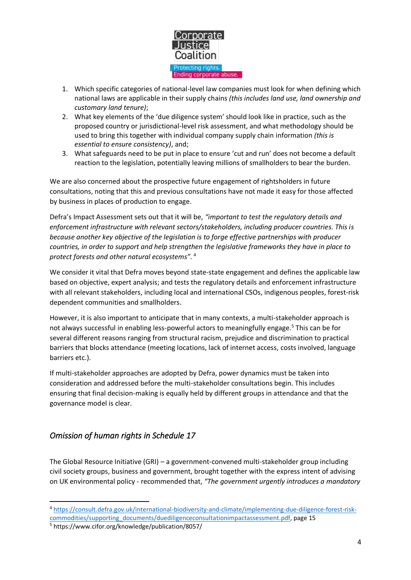

- 1. Which specific categories of national-level law companies must look for when defining which national laws are applicable in their supply chains *(this includes land use, land ownership and customary land tenure)*;
- 2. What key elements of the 'due diligence system' should look like in practice, such as the proposed country or jurisdictional-level risk assessment, and what methodology should be used to bring this together with individual company supply chain information *(this is essential to ensure consistency)*, and;
- 3. What safeguards need to be put in place to ensure 'cut and run' does not become a default reaction to the legislation, potentially leaving millions of smallholders to bear the burden.

We are also concerned about the prospective future engagement of rightsholders in future consultations, noting that this and previous consultations have not made it easy for those affected by business in places of production to engage.

Defra's Impact Assessment sets out that it will be, *"important to test the regulatory details and enforcement infrastructure with relevant sectors/stakeholders, including producer countries. This is because another key objective of the legislation is to forge effective partnerships with producer countries, in order to support and help strengthen the legislative frameworks they have in place to protect forests and other natural ecosystems".* <sup>4</sup>

We consider it vital that Defra moves beyond state-state engagement and defines the applicable law based on objective, expert analysis; and tests the regulatory details and enforcement infrastructure with all relevant stakeholders, including local and international CSOs, indigenous peoples, forest-risk dependent communities and smallholders.

However, it is also important to anticipate that in many contexts, a multi-stakeholder approach is not always successful in enabling less-powerful actors to meaningfully engage. <sup>5</sup> This can be for several different reasons ranging from structural racism, prejudice and discrimination to practical barriers that blocks attendance (meeting locations, lack of internet access, costs involved, language barriers etc.).

If multi-stakeholder approaches are adopted by Defra, power dynamics must be taken into consideration and addressed before the multi-stakeholder consultations begin. This includes ensuring that final decision-making is equally held by different groups in attendance and that the governance model is clear.

## <span id="page-3-0"></span>*Omission of human rights in Schedule 17*

The Global Resource Initiative (GRI) – a government-convened multi-stakeholder group including civil society groups, business and government, brought together with the express intent of advising on UK environmental policy - recommended that, *"The government urgently introduces a mandatory*

<sup>4</sup> [https://consult.defra.gov.uk/international-biodiversity-and-climate/implementing-due-diligence-forest-risk](https://consult.defra.gov.uk/international-biodiversity-and-climate/implementing-due-diligence-forest-risk-commodities/supporting_documents/duediligenceconsultationimpactassessment.pdf)[commodities/supporting\\_documents/duediligenceconsultationimpactassessment.pdf,](https://consult.defra.gov.uk/international-biodiversity-and-climate/implementing-due-diligence-forest-risk-commodities/supporting_documents/duediligenceconsultationimpactassessment.pdf) page 15

<sup>5</sup> https://www.cifor.org/knowledge/publication/8057/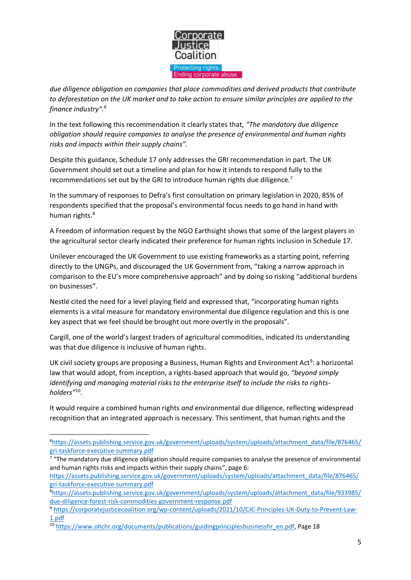

*due diligence obligation on companies that place commodities and derived products that contribute to deforestation on the UK market and to take action to ensure similar principles are applied to the finance industry".<sup>6</sup>*

In the text following this recommendation it clearly states that, *"The mandatory due diligence obligation should require companies to analyse the presence of environmental and human rights risks and impacts within their supply chains".*

Despite this guidance, Schedule 17 only addresses the GRI recommendation in part. The UK Government should set out a timeline and plan for how it intends to respond fully to the recommendations set out by the GRI to introduce human rights due diligence.<sup>7</sup>

In the summary of responses to Defra's first consultation on primary legislation in 2020, 85% of respondents specified that the proposal's environmental focus needs to go hand in hand with human rights. 8

A Freedom of information request by the NGO Earthsight shows that some of the largest players in the agricultural sector clearly indicated their preference for human rights inclusion in Schedule 17.

Unilever encouraged the UK Government to use existing frameworks as a starting point, referring directly to the UNGPs, and discouraged the UK Government from, "taking a narrow approach in comparison to the EU's more comprehensive approach" and by doing so risking "additional burdens on businesses".

Nestlé cited the need for a level playing field and expressed that, "incorporating human rights elements is a vital measure for mandatory environmental due diligence regulation and this is one key aspect that we feel should be brought out more overtly in the proposals".

Cargill, one of the world's largest traders of agricultural commodities, indicated its understanding was that due diligence is inclusive of human rights.

UK civil society groups are proposing a Business, Human Rights and Environment Act<sup>9</sup>: a horizontal law that would adopt, from inception, a rights-based approach that would go, *"beyond simply identifying and managing material risks to the enterprise itself to include the risks to rightsholders"*<sup>10</sup> .

It would require a combined human rights *and* environmental due diligence, reflecting widespread recognition that an integrated approach is necessary. This sentiment, that human rights and the

<sup>6</sup>[https://assets.publishing.service.gov.uk/government/uploads/system/uploads/attachment\\_data/file/876465/](https://assets.publishing.service.gov.uk/government/uploads/system/uploads/attachment_data/file/876465/gri-taskforce-executive-summary.pdf) [gri-taskforce-executive-summary.pdf](https://assets.publishing.service.gov.uk/government/uploads/system/uploads/attachment_data/file/876465/gri-taskforce-executive-summary.pdf)

<sup>&</sup>lt;sup>7</sup> "The mandatory due diligence obligation should require companies to analyse the presence of environmental and human rights risks and impacts within their supply chains", page 6:

[https://assets.publishing.service.gov.uk/government/uploads/system/uploads/attachment\\_data/file/876465/](https://assets.publishing.service.gov.uk/government/uploads/system/uploads/attachment_data/file/876465/gri-taskforce-executive-summary.pdf) [gri-taskforce-executive-summary.pdf](https://assets.publishing.service.gov.uk/government/uploads/system/uploads/attachment_data/file/876465/gri-taskforce-executive-summary.pdf)

<sup>8</sup>[https://assets.publishing.service.gov.uk/government/uploads/system/uploads/attachment\\_data/file/933985/](https://assets.publishing.service.gov.uk/government/uploads/system/uploads/attachment_data/file/933985/due-diligence-forest-risk-commodities-government-response.pdf) [due-diligence-forest-risk-commodities-government-response.pdf](https://assets.publishing.service.gov.uk/government/uploads/system/uploads/attachment_data/file/933985/due-diligence-forest-risk-commodities-government-response.pdf)

<sup>9</sup> [https://corporatejusticecoalition.org/wp-content/uploads/2021/10/CJC-Principles-UK-Duty-to-Prevent-Law-](https://corporatejusticecoalition.org/wp-content/uploads/2021/10/CJC-Principles-UK-Duty-to-Prevent-Law-1.pdf)[1.pdf](https://corporatejusticecoalition.org/wp-content/uploads/2021/10/CJC-Principles-UK-Duty-to-Prevent-Law-1.pdf)

<sup>&</sup>lt;sup>10</sup> [https://www.ohchr.org/documents/publications/guidingprinciplesbusinesshr\\_en.pdf,](https://www.ohchr.org/documents/publications/guidingprinciplesbusinesshr_en.pdf) Page 18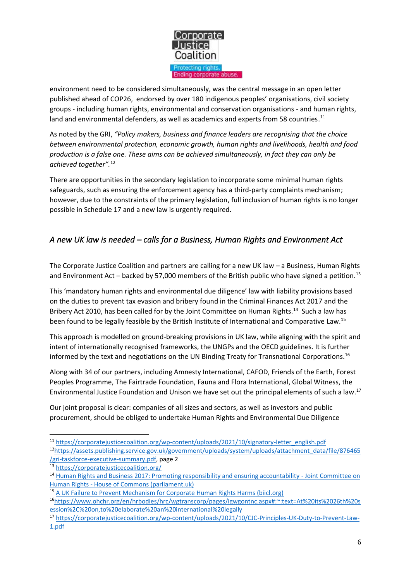

environment need to be considered simultaneously, was the central message in an open letter published ahead of COP26, endorsed by over 180 indigenous peoples' organisations, civil society groups - including human rights, environmental and conservation organisations - and human rights, land and environmental defenders, as well as academics and experts from 58 countries.<sup>11</sup>

As noted by the GRI, *"Policy makers, business and finance leaders are recognising that the choice between environmental protection, economic growth, human rights and livelihoods, health and food production is a false one. These aims can be achieved simultaneously, in fact they can only be achieved together".*<sup>12</sup>

There are opportunities in the secondary legislation to incorporate some minimal human rights safeguards, such as ensuring the enforcement agency has a third-party complaints mechanism; however, due to the constraints of the primary legislation, full inclusion of human rights is no longer possible in Schedule 17 and a new law is urgently required.

## <span id="page-5-0"></span>*A new UK law is needed – calls for a Business, Human Rights and Environment Act*

The Corporate Justice Coalition and partners are calling for a new UK law – a Business, Human Rights and Environment Act – backed by 57,000 members of the British public who have signed a petition.<sup>13</sup>

This 'mandatory human rights and environmental due diligence' law with liability provisions based on the duties to prevent tax evasion and bribery found in the Criminal Finances Act 2017 and the Bribery Act 2010, has been called for by the Joint Committee on Human Rights.<sup>14</sup> Such a law has been found to be legally feasible by the British Institute of International and Comparative Law.<sup>15</sup>

This approach is modelled on ground-breaking provisions in UK law, while aligning with the spirit and intent of internationally recognised frameworks, the UNGPs and the OECD guidelines. It is further informed by the text and negotiations on the UN Binding Treaty for Transnational Corporations.<sup>16</sup>

Along with 34 of our partners, including Amnesty International, CAFOD, Friends of the Earth, Forest Peoples Programme, The Fairtrade Foundation, Fauna and Flora International, Global Witness, the Environmental Justice Foundation and Unison we have set out the principal elements of such a law. 17

Our joint proposal is clear: companies of all sizes and sectors, as well as investors and public procurement, should be obliged to undertake Human Rights and Environmental Due Diligence

<sup>11</sup> [https://corporatejusticecoalition.org/wp-content/uploads/2021/10/signatory-letter\\_english.pdf](https://corporatejusticecoalition.org/wp-content/uploads/2021/10/signatory-letter_english.pdf)

<sup>&</sup>lt;sup>12</sup>[https://assets.publishing.service.gov.uk/government/uploads/system/uploads/attachment\\_data/file/876465](https://assets.publishing.service.gov.uk/government/uploads/system/uploads/attachment_data/file/876465/gri-taskforce-executive-summary.pdf) [/gri-taskforce-executive-summary.pdf,](https://assets.publishing.service.gov.uk/government/uploads/system/uploads/attachment_data/file/876465/gri-taskforce-executive-summary.pdf) page 2

<sup>13</sup> <https://corporatejusticecoalition.org/>

<sup>&</sup>lt;sup>14</sup> [Human Rights and Business 2017: Promoting responsibility and ensuring accountability -](https://publications.parliament.uk/pa/jt201617/jtselect/jtrights/443/44311.htm#_idTextAnchor094) Joint Committee on Human Rights - [House of Commons \(parliament.uk\)](https://publications.parliament.uk/pa/jt201617/jtselect/jtrights/443/44311.htm#_idTextAnchor094)

<sup>&</sup>lt;sup>15</sup> [A UK Failure to Prevent Mechanism for Corporate Human Rights Harms \(biicl.org\)](https://www.biicl.org/publications/a-uk-failure-to-prevent-mechanism-for-corporate-human-rights-harms)

<sup>16</sup>[https://www.ohchr.org/en/hrbodies/hrc/wgtranscorp/pages/igwgontnc.aspx#:~:text=At%20its%2026th%20s](https://www.ohchr.org/en/hrbodies/hrc/wgtranscorp/pages/igwgontnc.aspx#:~:text=At%20its%2026th%20session%2C%20on,to%20elaborate%20an%20international%20legally) [ession%2C%20on,to%20elaborate%20an%20international%20legally](https://www.ohchr.org/en/hrbodies/hrc/wgtranscorp/pages/igwgontnc.aspx#:~:text=At%20its%2026th%20session%2C%20on,to%20elaborate%20an%20international%20legally)

<sup>17</sup> [https://corporatejusticecoalition.org/wp-content/uploads/2021/10/CJC-Principles-UK-Duty-to-Prevent-Law-](https://corporatejusticecoalition.org/wp-content/uploads/2021/10/CJC-Principles-UK-Duty-to-Prevent-Law-1.pdf)[1.pdf](https://corporatejusticecoalition.org/wp-content/uploads/2021/10/CJC-Principles-UK-Duty-to-Prevent-Law-1.pdf)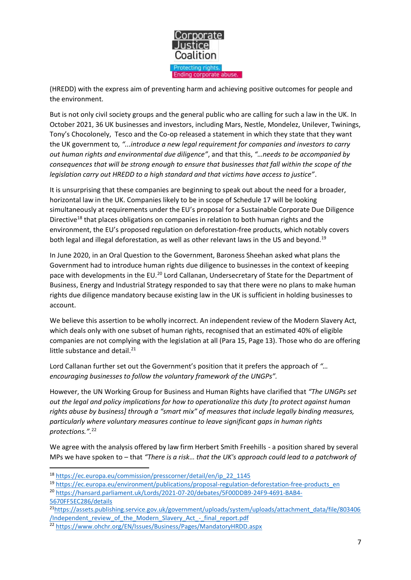

(HREDD) with the express aim of preventing harm and achieving positive outcomes for people and the environment.

But is not only civil society groups and the general public who are calling for such a law in the UK. In October 2021, 36 UK businesses and investors, including Mars, Nestle, Mondelez, Unilever, Twinings, Tony's Chocolonely, Tesco and the Co-op released a statement in which they state that they want the UK government to*, "...introduce a new legal requirement for companies and investors to carry out human rights and environmental due diligence"*, and that this, *"…needs to be accompanied by consequences that will be strong enough to ensure that businesses that fall within the scope of the legislation carry out HREDD to a high standard and that victims have access to justice"*.

It is unsurprising that these companies are beginning to speak out about the need for a broader, horizontal law in the UK. Companies likely to be in scope of Schedule 17 will be looking simultaneously at requirements under the EU's proposal for a Sustainable Corporate Due Diligence Directive<sup>18</sup> that places obligations on companies in relation to both human rights and the environment, the EU's proposed regulation on deforestation-free products, which notably covers both legal and illegal deforestation, as well as other relevant laws in the US and beyond.<sup>19</sup>

In June 2020, in an Oral Question to the Government, Baroness Sheehan asked what plans the Government had to introduce human rights due diligence to businesses in the context of keeping pace with developments in the EU.<sup>20</sup> Lord Callanan, Undersecretary of State for the Department of Business, Energy and Industrial Strategy responded to say that there were no plans to make human rights due diligence mandatory because existing law in the UK is sufficient in holding businesses to account.

We believe this assertion to be wholly incorrect. An independent review of the Modern Slavery Act, which deals only with one subset of human rights, recognised that an estimated 40% of eligible companies are not complying with the legislation at all (Para 15, Page 13). Those who do are offering little substance and detail.<sup>21</sup>

Lord Callanan further set out the Government's position that it prefers the approach of *"… encouraging businesses to follow the voluntary framework of the UNGPs".*

However, the UN Working Group for Business and Human Rights have clarified that *"The UNGPs set out the legal and policy implications for how to operationalize this duty [to protect against human rights abuse by business] through a "smart mix" of measures that include legally binding measures, particularly where voluntary measures continue to leave significant gaps in human rights protections.".* 22

We agree with the analysis offered by law firm Herbert Smith Freehills - a position shared by several MPs we have spoken to – that *"There is a risk… that the UK's approach could lead to a patchwork of* 

<sup>18</sup> [https://ec.europa.eu/commission/presscorner/detail/en/ip\\_22\\_1145](https://ec.europa.eu/commission/presscorner/detail/en/ip_22_1145)

<sup>19</sup> [https://ec.europa.eu/environment/publications/proposal-regulation-deforestation-free-products\\_en](https://ec.europa.eu/environment/publications/proposal-regulation-deforestation-free-products_en)

<sup>20</sup> [https://hansard.parliament.uk/Lords/2021-07-20/debates/5F00DDB9-24F9-4691-BAB4-](https://hansard.parliament.uk/Lords/2021-07-20/debates/5F00DDB9-24F9-4691-BAB4-5670FF5EC286/details) [5670FF5EC286/details](https://hansard.parliament.uk/Lords/2021-07-20/debates/5F00DDB9-24F9-4691-BAB4-5670FF5EC286/details)

<sup>&</sup>lt;sup>21</sup>[https://assets.publishing.service.gov.uk/government/uploads/system/uploads/attachment\\_data/file/803406](https://assets.publishing.service.gov.uk/government/uploads/system/uploads/attachment_data/file/803406/Independent_review_of_the_Modern_Slavery_Act_-_final_report.pdf) [/Independent\\_review\\_of\\_the\\_Modern\\_Slavery\\_Act\\_-\\_final\\_report.pdf](https://assets.publishing.service.gov.uk/government/uploads/system/uploads/attachment_data/file/803406/Independent_review_of_the_Modern_Slavery_Act_-_final_report.pdf)

<sup>22</sup> <https://www.ohchr.org/EN/Issues/Business/Pages/MandatoryHRDD.aspx>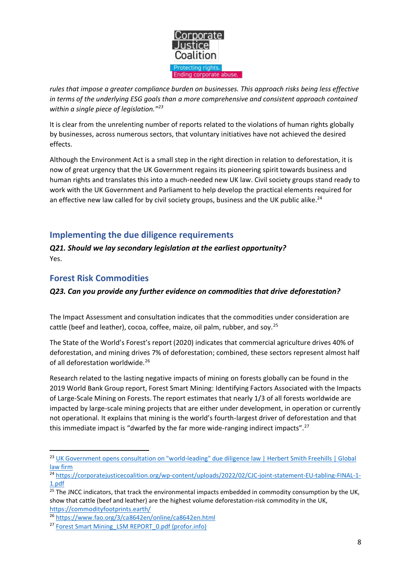

*rules that impose a greater compliance burden on businesses. This approach risks being less effective in terms of the underlying ESG goals than a more comprehensive and consistent approach contained within a single piece of legislation."<sup>23</sup>*

It is clear from the unrelenting number of reports related to the violations of human rights globally by businesses, across numerous sectors, that voluntary initiatives have not achieved the desired effects.

Although the Environment Act is a small step in the right direction in relation to deforestation, it is now of great urgency that the UK Government regains its pioneering spirit towards business and human rights and translates this into a much-needed new UK law. Civil society groups stand ready to work with the UK Government and Parliament to help develop the practical elements required for an effective new law called for by civil society groups, business and the UK public alike.<sup>24</sup>

## <span id="page-7-0"></span>**Implementing the due diligence requirements**

<span id="page-7-1"></span>*Q21. Should we lay secondary legislation at the earliest opportunity?* Yes.

## <span id="page-7-2"></span>**Forest Risk Commodities**

### <span id="page-7-3"></span>*Q23. Can you provide any further evidence on commodities that drive deforestation?*

The Impact Assessment and consultation indicates that the commodities under consideration are cattle (beef and leather), cocoa, coffee, maize, oil palm, rubber, and soy.<sup>25</sup>

The State of the World's Forest's report (2020) indicates that commercial agriculture drives 40% of deforestation, and mining drives 7% of deforestation; combined, these sectors represent almost half of all deforestation worldwide.<sup>26</sup>

Research related to the lasting negative impacts of mining on forests globally can be found in the 2019 World Bank Group report, Forest Smart Mining: Identifying Factors Associated with the Impacts of Large-Scale Mining on Forests. The report estimates that nearly 1/3 of all forests worldwide are impacted by large-scale mining projects that are either under development, in operation or currently not operational. It explains that mining is the world's fourth-largest driver of deforestation and that this immediate impact is "dwarfed by the far more wide-ranging indirect impacts".<sup>27</sup>

<sup>&</sup>lt;sup>23</sup> UK Government opens consultation on "world-leading" due diligence law | Herbert Smith Freehills | Global [law firm](https://www.herbertsmithfreehills.com/latest-thinking/uk-government-opens-consultation-on-world-leading-due-diligence-law)

<sup>&</sup>lt;sup>24</sup> [https://corporatejusticecoalition.org/wp-content/uploads/2022/02/CJC-joint-statement-EU-tabling-FINAL-1-](https://corporatejusticecoalition.org/wp-content/uploads/2022/02/CJC-joint-statement-EU-tabling-FINAL-1-1.pdf) [1.pdf](https://corporatejusticecoalition.org/wp-content/uploads/2022/02/CJC-joint-statement-EU-tabling-FINAL-1-1.pdf)

<sup>&</sup>lt;sup>25</sup> The JNCC indicators, that track the environmental impacts embedded in commodity consumption by the UK, show that cattle (beef and leather) are the highest volume deforestation-risk commodity in the UK, <https://commodityfootprints.earth/>

<sup>26</sup> <https://www.fao.org/3/ca8642en/online/ca8642en.html>

<sup>&</sup>lt;sup>27</sup> [Forest Smart Mining\\_LSM REPORT\\_0.pdf \(profor.info\)](https://www.profor.info/sites/profor.info/files/Forest%20Smart%20Mining_LSM%20REPORT_0.pdf)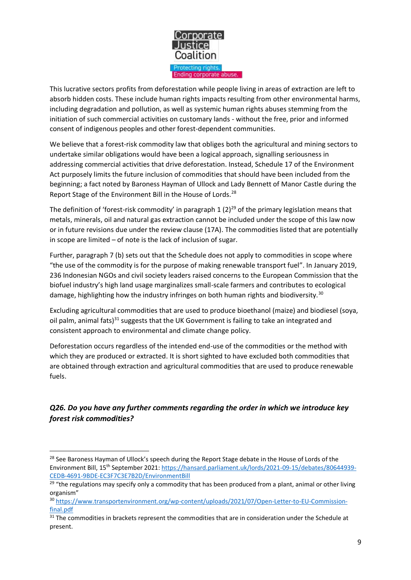

This lucrative sectors profits from deforestation while people living in areas of extraction are left to absorb hidden costs. These include human rights impacts resulting from other environmental harms, including degradation and pollution, as well as systemic human rights abuses stemming from the initiation of such commercial activities on customary lands - without the free, prior and informed consent of indigenous peoples and other forest-dependent communities.

We believe that a forest-risk commodity law that obliges both the agricultural and mining sectors to undertake similar obligations would have been a logical approach, signalling seriousness in addressing commercial activities that drive deforestation. Instead, Schedule 17 of the Environment Act purposely limits the future inclusion of commodities that should have been included from the beginning; a fact noted by Baroness Hayman of Ullock and Lady Bennett of Manor Castle during the Report Stage of the Environment Bill in the House of Lords.<sup>28</sup>

The definition of 'forest-risk commodity' in paragraph 1  $(2)^{29}$  of the primary legislation means that metals, minerals, oil and natural gas extraction cannot be included under the scope of this law now or in future revisions due under the review clause (17A). The commodities listed that are potentially in scope are limited – of note is the lack of inclusion of sugar.

Further, paragraph 7 (b) sets out that the Schedule does not apply to commodities in scope where "the use of the commodity is for the purpose of making renewable transport fuel". In January 2019, 236 Indonesian NGOs and civil society leaders raised concerns to the European Commission that the biofuel industry's high land usage marginalizes small-scale farmers and contributes to ecological damage, highlighting how the industry infringes on both human rights and biodiversity.<sup>30</sup>

Excluding agricultural commodities that are used to produce bioethanol (maize) and biodiesel (soya, oil palm, animal fats) $31$  suggests that the UK Government is failing to take an integrated and consistent approach to environmental and climate change policy.

Deforestation occurs regardless of the intended end-use of the commodities or the method with which they are produced or extracted. It is short sighted to have excluded both commodities that are obtained through extraction and agricultural commodities that are used to produce renewable fuels.

## <span id="page-8-0"></span>*Q26. Do you have any further comments regarding the order in which we introduce key forest risk commodities?*

<sup>&</sup>lt;sup>28</sup> See Baroness Hayman of Ullock's speech during the Report Stage debate in the House of Lords of the Environment Bill, 15th September 2021: [https://hansard.parliament.uk/lords/2021-09-15/debates/80644939-](https://hansard.parliament.uk/lords/2021-09-15/debates/80644939-CEDB-4691-9BDE-EC3F7C3E7B2D/EnvironmentBill) [CEDB-4691-9BDE-EC3F7C3E7B2D/EnvironmentBill](https://hansard.parliament.uk/lords/2021-09-15/debates/80644939-CEDB-4691-9BDE-EC3F7C3E7B2D/EnvironmentBill)

 $29$  "the regulations may specify only a commodity that has been produced from a plant, animal or other living organism"

<sup>30</sup> [https://www.transportenvironment.org/wp-content/uploads/2021/07/Open-Letter-to-EU-Commission](https://www.transportenvironment.org/wp-content/uploads/2021/07/Open-Letter-to-EU-Commission-final.pdf)[final.pdf](https://www.transportenvironment.org/wp-content/uploads/2021/07/Open-Letter-to-EU-Commission-final.pdf)

<sup>&</sup>lt;sup>31</sup> The commodities in brackets represent the commodities that are in consideration under the Schedule at present.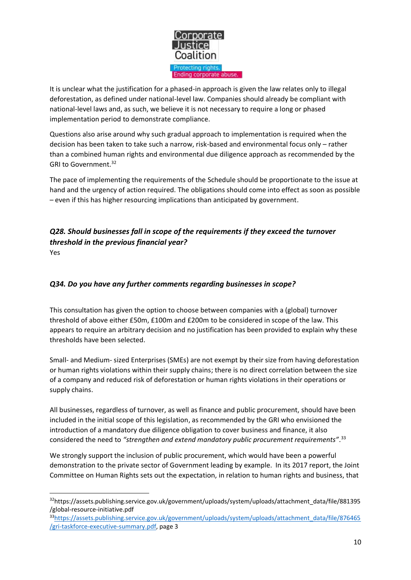

It is unclear what the justification for a phased-in approach is given the law relates only to illegal deforestation, as defined under national-level law. Companies should already be compliant with national-level laws and, as such, we believe it is not necessary to require a long or phased implementation period to demonstrate compliance.

Questions also arise around why such gradual approach to implementation is required when the decision has been taken to take such a narrow, risk-based and environmental focus only – rather than a combined human rights and environmental due diligence approach as recommended by the GRI to Government.<sup>32</sup>

The pace of implementing the requirements of the Schedule should be proportionate to the issue at hand and the urgency of action required. The obligations should come into effect as soon as possible – even if this has higher resourcing implications than anticipated by government.

### <span id="page-9-0"></span>*Q28. Should businesses fall in scope of the requirements if they exceed the turnover threshold in the previous financial year?* Yes

### <span id="page-9-1"></span>*Q34. Do you have any further comments regarding businesses in scope?*

This consultation has given the option to choose between companies with a (global) turnover threshold of above either £50m, £100m and £200m to be considered in scope of the law. This appears to require an arbitrary decision and no justification has been provided to explain why these thresholds have been selected.

Small- and Medium- sized Enterprises (SMEs) are not exempt by their size from having deforestation or human rights violations within their supply chains; there is no direct correlation between the size of a company and reduced risk of deforestation or human rights violations in their operations or supply chains.

All businesses, regardless of turnover, as well as finance and public procurement, should have been included in the initial scope of this legislation, as recommended by the GRI who envisioned the introduction of a mandatory due diligence obligation to cover business and finance, it also considered the need to *"strengthen and extend mandatory public procurement requirements"*. 33

We strongly support the inclusion of public procurement, which would have been a powerful demonstration to the private sector of Government leading by example. In its 2017 report, the Joint Committee on Human Rights sets out the expectation, in relation to human rights and business, that

<sup>32</sup>https://assets.publishing.service.gov.uk/government/uploads/system/uploads/attachment\_data/file/881395 /global-resource-initiative.pdf

<sup>33</sup>[https://assets.publishing.service.gov.uk/government/uploads/system/uploads/attachment\\_data/file/876465](https://assets.publishing.service.gov.uk/government/uploads/system/uploads/attachment_data/file/876465/gri-taskforce-executive-summary.pdf) [/gri-taskforce-executive-summary.pdf,](https://assets.publishing.service.gov.uk/government/uploads/system/uploads/attachment_data/file/876465/gri-taskforce-executive-summary.pdf) page 3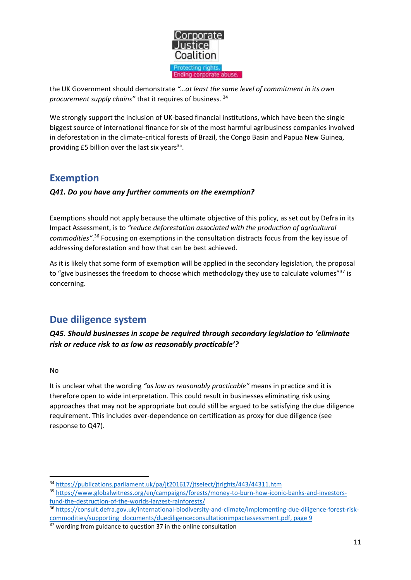

the UK Government should demonstrate *"…at least the same level of commitment in its own procurement supply chains"* that it requires of business. <sup>34</sup>

We strongly support the inclusion of UK-based financial institutions, which have been the single biggest source of international finance for six of the most harmful agribusiness companies involved in deforestation in the climate-critical forests of Brazil, the Congo Basin and Papua New Guinea, providing  $£5$  billion over the last six years<sup>35</sup>.

# <span id="page-10-0"></span>**Exemption**

### <span id="page-10-1"></span>*Q41. Do you have any further comments on the exemption?*

Exemptions should not apply because the ultimate objective of this policy, as set out by Defra in its Impact Assessment, is to *"reduce deforestation associated with the production of agricultural commodities"*. <sup>36</sup> Focusing on exemptions in the consultation distracts focus from the key issue of addressing deforestation and how that can be best achieved.

As it is likely that some form of exemption will be applied in the secondary legislation, the proposal to "give businesses the freedom to choose which methodology they use to calculate volumes" $37$  is concerning.

# <span id="page-10-2"></span>**Due diligence system**

<span id="page-10-3"></span>*Q45. Should businesses in scope be required through secondary legislation to 'eliminate risk or reduce risk to as low as reasonably practicable'?*

#### No

It is unclear what the wording *"as low as reasonably practicable"* means in practice and it is therefore open to wide interpretation. This could result in businesses eliminating risk using approaches that may not be appropriate but could still be argued to be satisfying the due diligence requirement. This includes over-dependence on certification as proxy for due diligence (see response to Q47).

<sup>34</sup> <https://publications.parliament.uk/pa/jt201617/jtselect/jtrights/443/44311.htm>

<sup>35</sup> [https://www.globalwitness.org/en/campaigns/forests/money-to-burn-how-iconic-banks-and-investors](https://www.globalwitness.org/en/campaigns/forests/money-to-burn-how-iconic-banks-and-investors-fund-the-destruction-of-the-worlds-largest-rainforests/)[fund-the-destruction-of-the-worlds-largest-rainforests/](https://www.globalwitness.org/en/campaigns/forests/money-to-burn-how-iconic-banks-and-investors-fund-the-destruction-of-the-worlds-largest-rainforests/)

<sup>36</sup> [https://consult.defra.gov.uk/international-biodiversity-and-climate/implementing-due-diligence-forest-risk](https://consult.defra.gov.uk/international-biodiversity-and-climate/implementing-due-diligence-forest-risk-commodities/supporting_documents/duediligenceconsultationimpactassessment.pdf)[commodities/supporting\\_documents/duediligenceconsultationimpactassessment.pdf,](https://consult.defra.gov.uk/international-biodiversity-and-climate/implementing-due-diligence-forest-risk-commodities/supporting_documents/duediligenceconsultationimpactassessment.pdf) page 9

<sup>&</sup>lt;sup>37</sup> wording from guidance to question 37 in the online consultation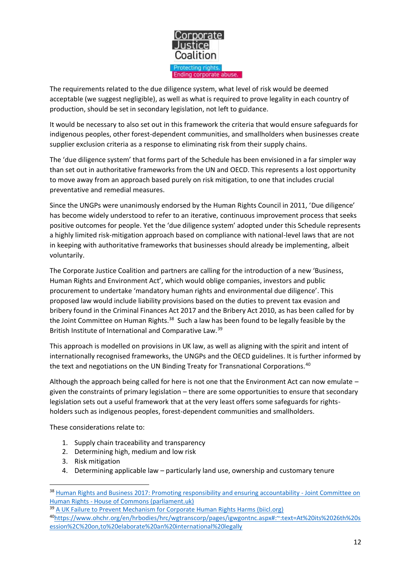

The requirements related to the due diligence system, what level of risk would be deemed acceptable (we suggest negligible), as well as what is required to prove legality in each country of production, should be set in secondary legislation, not left to guidance.

It would be necessary to also set out in this framework the criteria that would ensure safeguards for indigenous peoples, other forest-dependent communities, and smallholders when businesses create supplier exclusion criteria as a response to eliminating risk from their supply chains.

The 'due diligence system' that forms part of the Schedule has been envisioned in a far simpler way than set out in authoritative frameworks from the UN and OECD. This represents a lost opportunity to move away from an approach based purely on risk mitigation, to one that includes crucial preventative and remedial measures.

Since the UNGPs were unanimously endorsed by the Human Rights Council in 2011, 'Due diligence' has become widely understood to refer to an iterative, continuous improvement process that seeks positive outcomes for people. Yet the 'due diligence system' adopted under this Schedule represents a highly limited risk-mitigation approach based on compliance with national-level laws that are not in keeping with authoritative frameworks that businesses should already be implementing, albeit voluntarily.

The Corporate Justice Coalition and partners are calling for the introduction of a new 'Business, Human Rights and Environment Act', which would oblige companies, investors and public procurement to undertake 'mandatory human rights and environmental due diligence'. This proposed law would include liability provisions based on the duties to prevent tax evasion and bribery found in the Criminal Finances Act 2017 and the Bribery Act 2010, as has been called for by the Joint Committee on Human Rights.<sup>38</sup> Such a law has been found to be legally feasible by the British Institute of International and Comparative Law.<sup>39</sup>

This approach is modelled on provisions in UK law, as well as aligning with the spirit and intent of internationally recognised frameworks, the UNGPs and the OECD guidelines. It is further informed by the text and negotiations on the UN Binding Treaty for Transnational Corporations.<sup>40</sup>

Although the approach being called for here is not one that the Environment Act can now emulate – given the constraints of primary legislation – there are some opportunities to ensure that secondary legislation sets out a useful framework that at the very least offers some safeguards for rightsholders such as indigenous peoples, forest-dependent communities and smallholders.

These considerations relate to:

- 1. Supply chain traceability and transparency
- 2. Determining high, medium and low risk
- 3. Risk mitigation
- 4. Determining applicable law particularly land use, ownership and customary tenure

<sup>38</sup> [Human Rights and Business 2017: Promoting responsibility and ensuring accountability -](https://publications.parliament.uk/pa/jt201617/jtselect/jtrights/443/44311.htm#_idTextAnchor094) Joint Committee on Human Rights - [House of Commons \(parliament.uk\)](https://publications.parliament.uk/pa/jt201617/jtselect/jtrights/443/44311.htm#_idTextAnchor094)

<sup>&</sup>lt;sup>39</sup> [A UK Failure to Prevent Mechanism for Corporate Human Rights Harms \(biicl.org\)](https://www.biicl.org/publications/a-uk-failure-to-prevent-mechanism-for-corporate-human-rights-harms) <sup>40</sup>[https://www.ohchr.org/en/hrbodies/hrc/wgtranscorp/pages/igwgontnc.aspx#:~:text=At%20its%2026th%20s](https://www.ohchr.org/en/hrbodies/hrc/wgtranscorp/pages/igwgontnc.aspx#:~:text=At%20its%2026th%20session%2C%20on,to%20elaborate%20an%20international%20legally) [ession%2C%20on,to%20elaborate%20an%20international%20legally](https://www.ohchr.org/en/hrbodies/hrc/wgtranscorp/pages/igwgontnc.aspx#:~:text=At%20its%2026th%20session%2C%20on,to%20elaborate%20an%20international%20legally)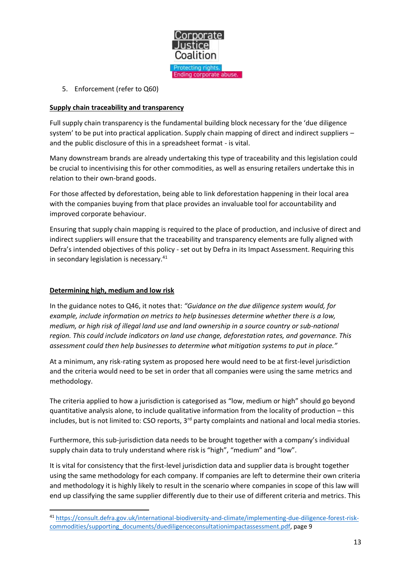

5. Enforcement (refer to Q60)

#### **Supply chain traceability and transparency**

Full supply chain transparency is the fundamental building block necessary for the 'due diligence system' to be put into practical application. Supply chain mapping of direct and indirect suppliers – and the public disclosure of this in a spreadsheet format - is vital.

Many downstream brands are already undertaking this type of traceability and this legislation could be crucial to incentivising this for other commodities, as well as ensuring retailers undertake this in relation to their own-brand goods.

For those affected by deforestation, being able to link deforestation happening in their local area with the companies buying from that place provides an invaluable tool for accountability and improved corporate behaviour.

Ensuring that supply chain mapping is required to the place of production, and inclusive of direct and indirect suppliers will ensure that the traceability and transparency elements are fully aligned with Defra's intended objectives of this policy - set out by Defra in its Impact Assessment. Requiring this in secondary legislation is necessary.<sup>41</sup>

#### **Determining high, medium and low risk**

In the guidance notes to Q46, it notes that: *"Guidance on the due diligence system would, for example, include information on metrics to help businesses determine whether there is a low, medium, or high risk of illegal land use and land ownership in a source country or sub-national region. This could include indicators on land use change, deforestation rates, and governance. This assessment could then help businesses to determine what mitigation systems to put in place."*

At a minimum, any risk-rating system as proposed here would need to be at first-level jurisdiction and the criteria would need to be set in order that all companies were using the same metrics and methodology.

The criteria applied to how a jurisdiction is categorised as "low, medium or high" should go beyond quantitative analysis alone, to include qualitative information from the locality of production – this includes, but is not limited to: CSO reports,  $3^{rd}$  party complaints and national and local media stories.

Furthermore, this sub-jurisdiction data needs to be brought together with a company's individual supply chain data to truly understand where risk is "high", "medium" and "low".

It is vital for consistency that the first-level jurisdiction data and supplier data is brought together using the same methodology for each company. If companies are left to determine their own criteria and methodology it is highly likely to result in the scenario where companies in scope of this law will end up classifying the same supplier differently due to their use of different criteria and metrics. This

<sup>41</sup> [https://consult.defra.gov.uk/international-biodiversity-and-climate/implementing-due-diligence-forest-risk](https://consult.defra.gov.uk/international-biodiversity-and-climate/implementing-due-diligence-forest-risk-commodities/supporting_documents/duediligenceconsultationimpactassessment.pdf)[commodities/supporting\\_documents/duediligenceconsultationimpactassessment.pdf,](https://consult.defra.gov.uk/international-biodiversity-and-climate/implementing-due-diligence-forest-risk-commodities/supporting_documents/duediligenceconsultationimpactassessment.pdf) page 9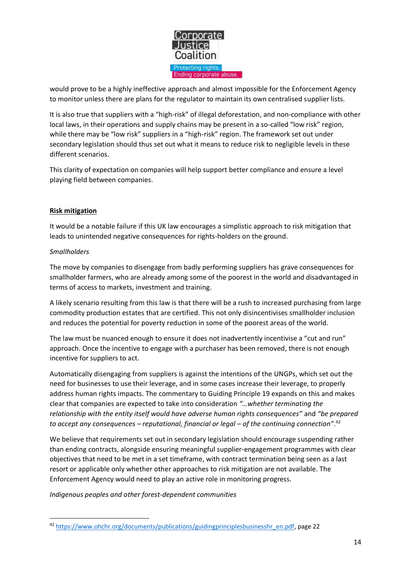

would prove to be a highly ineffective approach and almost impossible for the Enforcement Agency to monitor unless there are plans for the regulator to maintain its own centralised supplier lists.

It is also true that suppliers with a "high-risk" of illegal deforestation, and non-compliance with other local laws, in their operations and supply chains may be present in a so-called "low risk" region, while there may be "low risk" suppliers in a "high-risk" region. The framework set out under secondary legislation should thus set out what it means to reduce risk to negligible levels in these different scenarios.

This clarity of expectation on companies will help support better compliance and ensure a level playing field between companies.

#### **Risk mitigation**

It would be a notable failure if this UK law encourages a simplistic approach to risk mitigation that leads to unintended negative consequences for rights-holders on the ground.

#### *Smallholders*

The move by companies to disengage from badly performing suppliers has grave consequences for smallholder farmers, who are already among some of the poorest in the world and disadvantaged in terms of access to markets, investment and training.

A likely scenario resulting from this law is that there will be a rush to increased purchasing from large commodity production estates that are certified. This not only disincentivises smallholder inclusion and reduces the potential for poverty reduction in some of the poorest areas of the world.

The law must be nuanced enough to ensure it does not inadvertently incentivise a "cut and run" approach. Once the incentive to engage with a purchaser has been removed, there is not enough incentive for suppliers to act.

Automatically disengaging from suppliers is against the intentions of the UNGPs, which set out the need for businesses to use their leverage, and in some cases increase their leverage, to properly address human rights impacts. The commentary to Guiding Principle 19 expands on this and makes clear that companies are expected to take into consideration *"…whether terminating the relationship with the entity itself would have adverse human rights consequences"* and *"be prepared to accept any consequences – reputational, financial or legal – of the continuing connection"*. 42

We believe that requirements set out in secondary legislation should encourage suspending rather than ending contracts, alongside ensuring meaningful supplier-engagement programmes with clear objectives that need to be met in a set timeframe, with contract termination being seen as a last resort or applicable only whether other approaches to risk mitigation are not available. The Enforcement Agency would need to play an active role in monitoring progress.

*Indigenous peoples and other forest-dependent communities* 

<sup>42</sup> [https://www.ohchr.org/documents/publications/guidingprinciplesbusinesshr\\_en.pdf,](https://www.ohchr.org/documents/publications/guidingprinciplesbusinesshr_en.pdf) page 22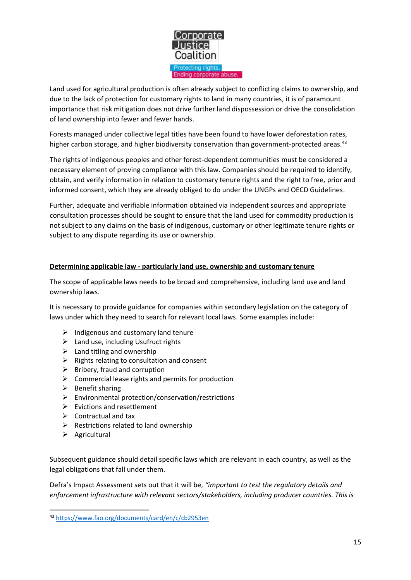

Land used for agricultural production is often already subject to conflicting claims to ownership, and due to the lack of protection for customary rights to land in many countries, it is of paramount importance that risk mitigation does not drive further land dispossession or drive the consolidation of land ownership into fewer and fewer hands.

Forests managed under collective legal titles have been found to have lower deforestation rates, higher carbon storage, and higher biodiversity conservation than government-protected areas.<sup>43</sup>

The rights of indigenous peoples and other forest-dependent communities must be considered a necessary element of proving compliance with this law. Companies should be required to identify, obtain, and verify information in relation to customary tenure rights and the right to free, prior and informed consent, which they are already obliged to do under the UNGPs and OECD Guidelines.

Further, adequate and verifiable information obtained via independent sources and appropriate consultation processes should be sought to ensure that the land used for commodity production is not subject to any claims on the basis of indigenous, customary or other legitimate tenure rights or subject to any dispute regarding its use or ownership.

#### **Determining applicable law - particularly land use, ownership and customary tenure**

The scope of applicable laws needs to be broad and comprehensive, including land use and land ownership laws.

It is necessary to provide guidance for companies within secondary legislation on the category of laws under which they need to search for relevant local laws. Some examples include:

- $\triangleright$  Indigenous and customary land tenure
- $\triangleright$  Land use, including Usufruct rights
- $\triangleright$  Land titling and ownership
- $\triangleright$  Rights relating to consultation and consent
- $\triangleright$  Bribery, fraud and corruption
- $\triangleright$  Commercial lease rights and permits for production
- $\triangleright$  Benefit sharing
- ➢ Environmental protection/conservation/restrictions
- $\triangleright$  Evictions and resettlement
- $\triangleright$  Contractual and tax
- $\triangleright$  Restrictions related to land ownership
- ➢ Agricultural

Subsequent guidance should detail specific laws which are relevant in each country, as well as the legal obligations that fall under them.

Defra's Impact Assessment sets out that it will be, *"important to test the regulatory details and enforcement infrastructure with relevant sectors/stakeholders, including producer countries. This is* 

<sup>43</sup> <https://www.fao.org/documents/card/en/c/cb2953en>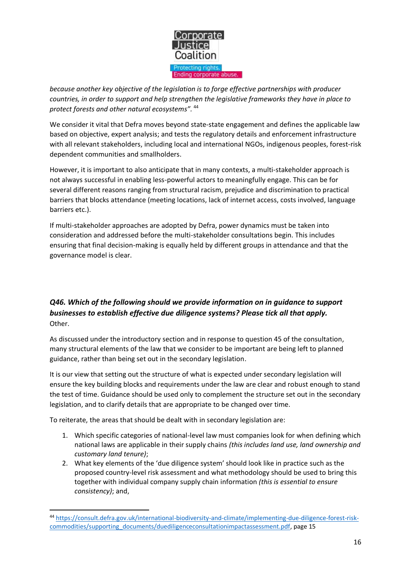

*because another key objective of the legislation is to forge effective partnerships with producer countries, in order to support and help strengthen the legislative frameworks they have in place to protect forests and other natural ecosystems".* <sup>44</sup>

We consider it vital that Defra moves beyond state-state engagement and defines the applicable law based on objective, expert analysis; and tests the regulatory details and enforcement infrastructure with all relevant stakeholders, including local and international NGOs, indigenous peoples, forest-risk dependent communities and smallholders.

However, it is important to also anticipate that in many contexts, a multi-stakeholder approach is not always successful in enabling less-powerful actors to meaningfully engage. This can be for several different reasons ranging from structural racism, prejudice and discrimination to practical barriers that blocks attendance (meeting locations, lack of internet access, costs involved, language barriers etc.).

If multi-stakeholder approaches are adopted by Defra, power dynamics must be taken into consideration and addressed before the multi-stakeholder consultations begin. This includes ensuring that final decision-making is equally held by different groups in attendance and that the governance model is clear.

### <span id="page-15-0"></span>*Q46. Which of the following should we provide information on in guidance to support businesses to establish effective due diligence systems? Please tick all that apply.* Other.

As discussed under the introductory section and in response to question 45 of the consultation, many structural elements of the law that we consider to be important are being left to planned guidance, rather than being set out in the secondary legislation.

It is our view that setting out the structure of what is expected under secondary legislation will ensure the key building blocks and requirements under the law are clear and robust enough to stand the test of time. Guidance should be used only to complement the structure set out in the secondary legislation, and to clarify details that are appropriate to be changed over time.

To reiterate, the areas that should be dealt with in secondary legislation are:

- 1. Which specific categories of national-level law must companies look for when defining which national laws are applicable in their supply chains *(this includes land use, land ownership and customary land tenure)*;
- 2. What key elements of the 'due diligence system' should look like in practice such as the proposed country-level risk assessment and what methodology should be used to bring this together with individual company supply chain information *(this is essential to ensure consistency)*; and,

<sup>44</sup> [https://consult.defra.gov.uk/international-biodiversity-and-climate/implementing-due-diligence-forest-risk](https://consult.defra.gov.uk/international-biodiversity-and-climate/implementing-due-diligence-forest-risk-commodities/supporting_documents/duediligenceconsultationimpactassessment.pdf)[commodities/supporting\\_documents/duediligenceconsultationimpactassessment.pdf,](https://consult.defra.gov.uk/international-biodiversity-and-climate/implementing-due-diligence-forest-risk-commodities/supporting_documents/duediligenceconsultationimpactassessment.pdf) page 15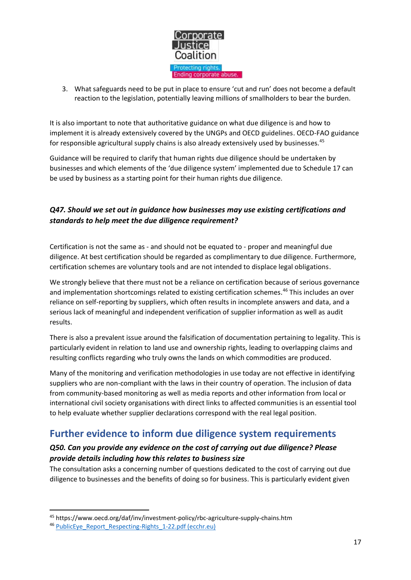

3. What safeguards need to be put in place to ensure 'cut and run' does not become a default reaction to the legislation, potentially leaving millions of smallholders to bear the burden.

It is also important to note that authoritative guidance on what due diligence is and how to implement it is already extensively covered by the UNGPs and OECD guidelines. OECD-FAO guidance for responsible agricultural supply chains is also already extensively used by businesses.<sup>45</sup>

Guidance will be required to clarify that human rights due diligence should be undertaken by businesses and which elements of the 'due diligence system' implemented due to Schedule 17 can be used by business as a starting point for their human rights due diligence.

### <span id="page-16-0"></span>*Q47. Should we set out in guidance how businesses may use existing certifications and standards to help meet the due diligence requirement?*

Certification is not the same as - and should not be equated to - proper and meaningful due diligence. At best certification should be regarded as complimentary to due diligence. Furthermore, certification schemes are voluntary tools and are not intended to displace legal obligations.

We strongly believe that there must not be a reliance on certification because of serious governance and implementation shortcomings related to existing certification schemes. <sup>46</sup> This includes an over reliance on self-reporting by suppliers, which often results in incomplete answers and data, and a serious lack of meaningful and independent verification of supplier information as well as audit results.

There is also a prevalent issue around the falsification of documentation pertaining to legality. This is particularly evident in relation to land use and ownership rights, leading to overlapping claims and resulting conflicts regarding who truly owns the lands on which commodities are produced.

Many of the monitoring and verification methodologies in use today are not effective in identifying suppliers who are non-compliant with the laws in their country of operation. The inclusion of data from community-based monitoring as well as media reports and other information from local or international civil society organisations with direct links to affected communities is an essential tool to help evaluate whether supplier declarations correspond with the real legal position.

# <span id="page-16-1"></span>**Further evidence to inform due diligence system requirements**

### <span id="page-16-2"></span>*Q50. Can you provide any evidence on the cost of carrying out due diligence? Please provide details including how this relates to business size*

The consultation asks a concerning number of questions dedicated to the cost of carrying out due diligence to businesses and the benefits of doing so for business. This is particularly evident given

<sup>45</sup> https://www.oecd.org/daf/inv/investment-policy/rbc-agriculture-supply-chains.htm

<sup>&</sup>lt;sup>46</sup> [PublicEye\\_Report\\_Respecting-Rights\\_1-22.pdf \(ecchr.eu\)](https://www.ecchr.eu/fileadmin/Publikationen/PublicEye_Report_Respecting-Rights_1-22.pdf)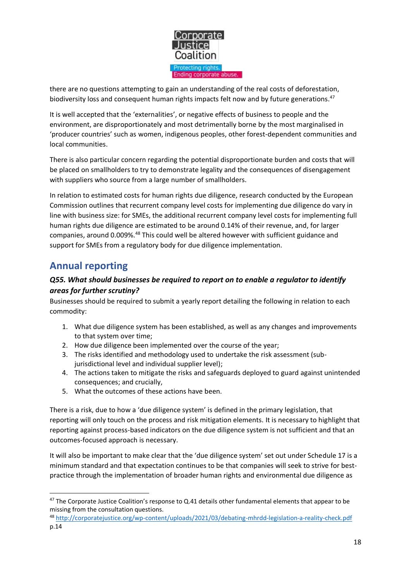

there are no questions attempting to gain an understanding of the real costs of deforestation, biodiversity loss and consequent human rights impacts felt now and by future generations.<sup>47</sup>

It is well accepted that the 'externalities', or negative effects of business to people and the environment, are disproportionately and most detrimentally borne by the most marginalised in 'producer countries' such as women, indigenous peoples, other forest-dependent communities and local communities.

There is also particular concern regarding the potential disproportionate burden and costs that will be placed on smallholders to try to demonstrate legality and the consequences of disengagement with suppliers who source from a large number of smallholders.

In relation to estimated costs for human rights due diligence, research conducted by the European Commission outlines that recurrent company level costs for implementing due diligence do vary in line with business size: for SMEs, the additional recurrent company level costs for implementing full human rights due diligence are estimated to be around 0.14% of their revenue, and, for larger companies, around 0.009%.<sup>48</sup> This could well be altered however with sufficient guidance and support for SMEs from a regulatory body for due diligence implementation.

# <span id="page-17-0"></span>**Annual reporting**

### <span id="page-17-1"></span>*Q55. What should businesses be required to report on to enable a regulator to identify areas for further scrutiny?*

Businesses should be required to submit a yearly report detailing the following in relation to each commodity:

- 1. What due diligence system has been established, as well as any changes and improvements to that system over time;
- 2. How due diligence been implemented over the course of the year;
- 3. The risks identified and methodology used to undertake the risk assessment (subjurisdictional level and individual supplier level);
- 4. The actions taken to mitigate the risks and safeguards deployed to guard against unintended consequences; and crucially,
- 5. What the outcomes of these actions have been.

There is a risk, due to how a 'due diligence system' is defined in the primary legislation, that reporting will only touch on the process and risk mitigation elements. It is necessary to highlight that reporting against process-based indicators on the due diligence system is not sufficient and that an outcomes-focused approach is necessary.

It will also be important to make clear that the 'due diligence system' set out under Schedule 17 is a minimum standard and that expectation continues to be that companies will seek to strive for bestpractice through the implementation of broader human rights and environmental due diligence as

<sup>&</sup>lt;sup>47</sup> The Corporate Justice Coalition's response to Q.41 details other fundamental elements that appear to be missing from the consultation questions.

<sup>48</sup> <http://corporatejustice.org/wp-content/uploads/2021/03/debating-mhrdd-legislation-a-reality-check.pdf> p.14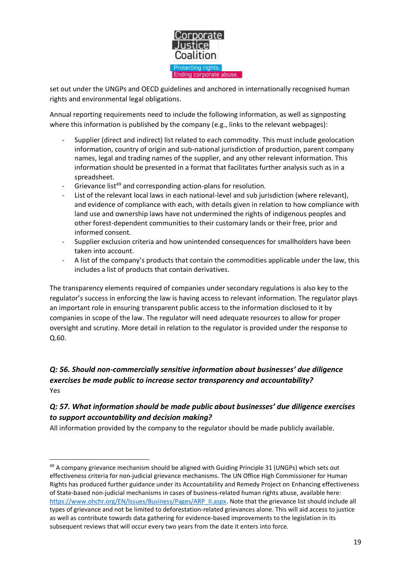

set out under the UNGPs and OECD guidelines and anchored in internationally recognised human rights and environmental legal obligations.

Annual reporting requirements need to include the following information, as well as signposting where this information is published by the company (e.g., links to the relevant webpages):

- Supplier (direct and indirect) list related to each commodity. This must include geolocation information, country of origin and sub-national jurisdiction of production, parent company names, legal and trading names of the supplier, and any other relevant information. This information should be presented in a format that facilitates further analysis such as in a spreadsheet.
- Grievance list<sup>49</sup> and corresponding action-plans for resolution.
- List of the relevant local laws in each national-level and sub jurisdiction (where relevant), and evidence of compliance with each, with details given in relation to how compliance with land use and ownership laws have not undermined the rights of indigenous peoples and other forest-dependent communities to their customary lands or their free, prior and informed consent.
- Supplier exclusion criteria and how unintended consequences for smallholders have been taken into account.
- A list of the company's products that contain the commodities applicable under the law, this includes a list of products that contain derivatives.

The transparency elements required of companies under secondary regulations is also key to the regulator's success in enforcing the law is having access to relevant information. The regulator plays an important role in ensuring transparent public access to the information disclosed to it by companies in scope of the law. The regulator will need adequate resources to allow for proper oversight and scrutiny. More detail in relation to the regulator is provided under the response to Q.60.

### <span id="page-18-0"></span>*Q: 56. Should non-commercially sensitive information about businesses' due diligence exercises be made public to increase sector transparency and accountability?* Yes

### <span id="page-18-1"></span>*Q: 57. What information should be made public about businesses' due diligence exercises to support accountability and decision making?*

All information provided by the company to the regulator should be made publicly available.

 $49$  A company grievance mechanism should be aligned with Guiding Principle 31 (UNGPs) which sets out effectiveness criteria for non-judicial grievance mechanisms. The UN Office High Commissioner for Human Rights has produced further guidance under its Accountability and Remedy Project on Enhancing effectiveness of State-based non-judicial mechanisms in cases of business-related human rights abuse, available here: [https://www.ohchr.org/EN/Issues/Business/Pages/ARP\\_II.aspx.](https://www.ohchr.org/EN/Issues/Business/Pages/ARP_II.aspx) Note that the grievance list should include all types of grievance and not be limited to deforestation-related grievances alone. This will aid access to justice as well as contribute towards data gathering for evidence-based improvements to the legislation in its subsequent reviews that will occur every two years from the date it enters into force.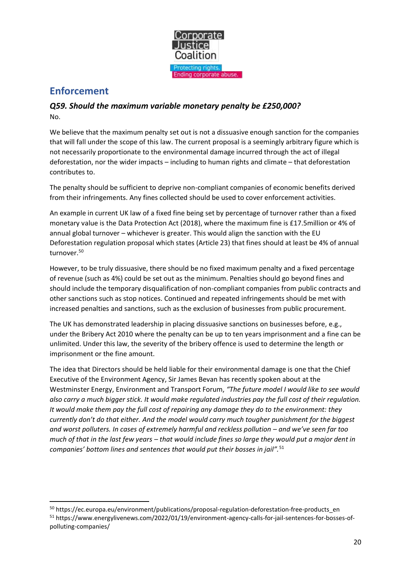

# <span id="page-19-0"></span>**Enforcement**

### <span id="page-19-1"></span>*Q59. Should the maximum variable monetary penalty be £250,000?* No.

We believe that the maximum penalty set out is not a dissuasive enough sanction for the companies that will fall under the scope of this law. The current proposal is a seemingly arbitrary figure which is not necessarily proportionate to the environmental damage incurred through the act of illegal deforestation, nor the wider impacts – including to human rights and climate – that deforestation contributes to.

The penalty should be sufficient to deprive non-compliant companies of economic benefits derived from their infringements. Any fines collected should be used to cover enforcement activities.

An example in current UK law of a fixed fine being set by percentage of turnover rather than a fixed monetary value is the Data Protection Act (2018), where the maximum fine is £17.5million or 4% of annual global turnover – whichever is greater. This would align the sanction with the EU Deforestation regulation proposal which states (Article 23) that fines should at least be 4% of annual turnover.<sup>50</sup>

However, to be truly dissuasive, there should be no fixed maximum penalty and a fixed percentage of revenue (such as 4%) could be set out as the minimum. Penalties should go beyond fines and should include the temporary disqualification of non-compliant companies from public contracts and other sanctions such as stop notices. Continued and repeated infringements should be met with increased penalties and sanctions, such as the exclusion of businesses from public procurement.

The UK has demonstrated leadership in placing dissuasive sanctions on businesses before, e.g., under the Bribery Act 2010 where the penalty can be up to ten years imprisonment and a fine can be unlimited. Under this law, the severity of the bribery offence is used to determine the length or imprisonment or the fine amount.

The idea that Directors should be held liable for their environmental damage is one that the Chief Executive of the Environment Agency, Sir James Bevan has recently spoken about at the Westminster Energy, Environment and Transport Forum, *"The future model I would like to see would also carry a much bigger stick. It would make regulated industries pay the full cost of their regulation. It would make them pay the full cost of repairing any damage they do to the environment: they currently don't do that either. And the model would carry much tougher punishment for the biggest and worst polluters. In cases of extremely harmful and reckless pollution – and we've seen far too much of that in the last few years – that would include fines so large they would put a major dent in companies' bottom lines and sentences that would put their bosses in jail".*<sup>51</sup>

<sup>50</sup> https://ec.europa.eu/environment/publications/proposal-regulation-deforestation-free-products\_en <sup>51</sup> https://www.energylivenews.com/2022/01/19/environment-agency-calls-for-jail-sentences-for-bosses-ofpolluting-companies/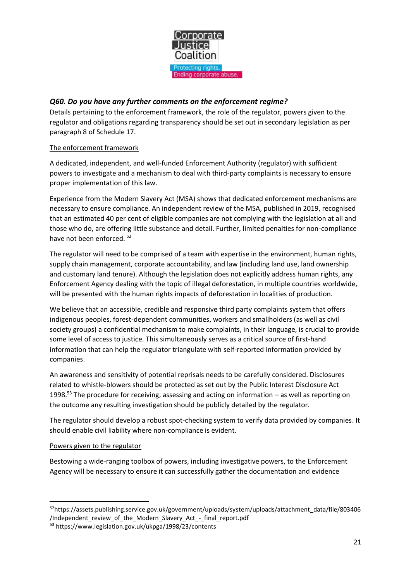

### <span id="page-20-0"></span>*Q60. Do you have any further comments on the enforcement regime?*

Details pertaining to the enforcement framework, the role of the regulator, powers given to the regulator and obligations regarding transparency should be set out in secondary legislation as per paragraph 8 of Schedule 17.

#### The enforcement framework

A dedicated, independent, and well-funded Enforcement Authority (regulator) with sufficient powers to investigate and a mechanism to deal with third-party complaints is necessary to ensure proper implementation of this law.

Experience from the Modern Slavery Act (MSA) shows that dedicated enforcement mechanisms are necessary to ensure compliance. An independent review of the MSA, published in 2019, recognised that an estimated 40 per cent of eligible companies are not complying with the legislation at all and those who do, are offering little substance and detail. Further, limited penalties for non-compliance have not been enforced.<sup>52</sup>

The regulator will need to be comprised of a team with expertise in the environment, human rights, supply chain management, corporate accountability, and law (including land use, land ownership and customary land tenure). Although the legislation does not explicitly address human rights, any Enforcement Agency dealing with the topic of illegal deforestation, in multiple countries worldwide, will be presented with the human rights impacts of deforestation in localities of production.

We believe that an accessible, credible and responsive third party complaints system that offers indigenous peoples, forest-dependent communities, workers and smallholders (as well as civil society groups) a confidential mechanism to make complaints, in their language, is crucial to provide some level of access to justice. This simultaneously serves as a critical source of first-hand information that can help the regulator triangulate with self-reported information provided by companies.

An awareness and sensitivity of potential reprisals needs to be carefully considered. Disclosures related to whistle-blowers should be protected as set out by the Public Interest Disclosure Act 1998.<sup>53</sup> The procedure for receiving, assessing and acting on information – as well as reporting on the outcome any resulting investigation should be publicly detailed by the regulator.

The regulator should develop a robust spot-checking system to verify data provided by companies. It should enable civil liability where non-compliance is evident.

#### Powers given to the regulator

Bestowing a wide-ranging toolbox of powers, including investigative powers, to the Enforcement Agency will be necessary to ensure it can successfully gather the documentation and evidence

<sup>52</sup>https://assets.publishing.service.gov.uk/government/uploads/system/uploads/attachment\_data/file/803406 /Independent review of the\_Modern\_Slavery\_Act\_-\_final\_report.pdf

<sup>53</sup> https://www.legislation.gov.uk/ukpga/1998/23/contents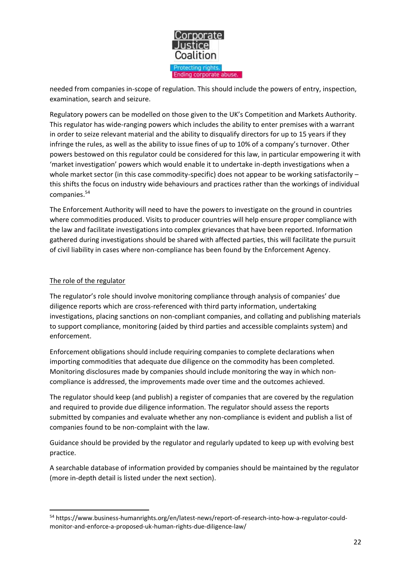

needed from companies in-scope of regulation. This should include the powers of entry, inspection, examination, search and seizure.

Regulatory powers can be modelled on those given to the UK's Competition and Markets Authority. This regulator has wide-ranging powers which includes the ability to enter premises with a warrant in order to seize relevant material and the ability to disqualify directors for up to 15 years if they infringe the rules, as well as the ability to issue fines of up to 10% of a company's turnover. Other powers bestowed on this regulator could be considered for this law, in particular empowering it with 'market investigation' powers which would enable it to undertake in-depth investigations when a whole market sector (in this case commodity-specific) does not appear to be working satisfactorily this shifts the focus on industry wide behaviours and practices rather than the workings of individual companies.<sup>54</sup>

The Enforcement Authority will need to have the powers to investigate on the ground in countries where commodities produced. Visits to producer countries will help ensure proper compliance with the law and facilitate investigations into complex grievances that have been reported. Information gathered during investigations should be shared with affected parties, this will facilitate the pursuit of civil liability in cases where non-compliance has been found by the Enforcement Agency.

#### The role of the regulator

The regulator's role should involve monitoring compliance through analysis of companies' due diligence reports which are cross-referenced with third party information, undertaking investigations, placing sanctions on non-compliant companies, and collating and publishing materials to support compliance, monitoring (aided by third parties and accessible complaints system) and enforcement.

Enforcement obligations should include requiring companies to complete declarations when importing commodities that adequate due diligence on the commodity has been completed. Monitoring disclosures made by companies should include monitoring the way in which noncompliance is addressed, the improvements made over time and the outcomes achieved.

The regulator should keep (and publish) a register of companies that are covered by the regulation and required to provide due diligence information. The regulator should assess the reports submitted by companies and evaluate whether any non-compliance is evident and publish a list of companies found to be non-complaint with the law.

Guidance should be provided by the regulator and regularly updated to keep up with evolving best practice.

A searchable database of information provided by companies should be maintained by the regulator (more in-depth detail is listed under the next section).

<sup>54</sup> https://www.business-humanrights.org/en/latest-news/report-of-research-into-how-a-regulator-couldmonitor-and-enforce-a-proposed-uk-human-rights-due-diligence-law/